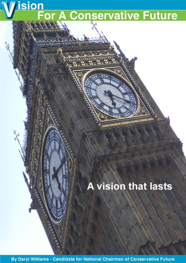**ision** A Conservative Future

## **A vision that lasts**

By Daryl Williams - Candidate for National Chairman of Conservative Future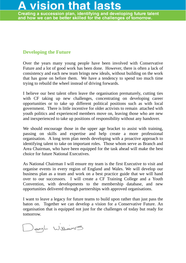# last

Creating a succession plan, identifying and developing future talent and how we can be better skilled for the challenges of tomorrow.

### **Developing the Future**

Over the years many young people have been involved with Conservative Future and a lot of good work has been done. However, there is often a lack of consistency and each new team brings new ideals, without building on the work that has gone on before them. We have a tendency to spend too much time trying to rebuild the wheel instead of driving forwards.

I believe our best talent often leave the organisation prematurely, cutting ties with CF taking up new challenges, concentrating on developing career opportunities or to take up different political positions such as with local government. There is little incentive for older activists to remain attached with youth politics and experienced members move on, leaving those who are new and inexperienced to take up positions of responsibility without any handover.

We should encourage those in the upper age bracket to assist with training, passing on skills and expertise and help create a more professional organisation. A long term plan needs developing with a proactive approach to identifying talent to take on important roles. Those whom serve as Branch and Area Chairman, who have been equipped for the task ahead will make the best choice for future National Executives.

As National Chairman I will ensure my team is the first Executive to visit and organise events in every region of England and Wales. We will develop our business plan as a team and work on a best practice guide that we will hand over to our successors. I will create a CF Training College and a Youth Convention, with developments to the membership database, and new opportunities delivered through partnerships with approved organisations.

I want to leave a legacy for future teams to build upon rather than just pass the baton on. Together we can develop a vision for a Conservative Future. An organisation that is equipped not just for the challenges of today but ready for tomorrow.

DanyL Williams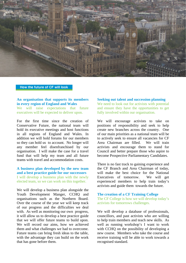

#### How the future of CF will look

#### **An organisation that supports its members in every region of England and Wales** We will raise expectations that future

executives will be expected to deliver upon.

For the first time since the creation of Conservative Future, the national team will hold its executive meetings and host functions in all regions of England and Wales. In addition we will hold forums for our members so they can hold us to account. No longer will any member feel disenfranchised by our organisation. I will make the case for a travel fund that will help my team and all future teams with travel and accommodation costs.

#### **A business plan developed by the new team and a best practice guide for our successors**

I will develop a business plan with the newly elected team, so we can work on this together.

We will develop a business plan alongside the Youth Development Manger, CCHQ and organisations such as the Northern Board. Over the course of the year we will keep track of our progress and the difficulties we deal with. As well as monitoring our own progress, it will allow us to develop a best practice guide that we will offer future teams to build upon. We will record our aims, how we achieved them and what challenges we had to overcome. Future teams can bring fresh ideas to the table, with the advantage they can build on the work that has gone before them.

#### **Seeking out talent and succession planning**

We need to look out for activists with potential and ensure they have the opportunities to get fully involved within our organisation.

We will encourage activists to take on positions of responsibility and seek to help create new branches across the country. One of our main priorities as a national team will be to actively seek to ensure all vacancies for CF Area Chairman are filled. We will train activists and encourage them to stand for Council and better prepare those who aspire to become Prospective Parliamentary Candidates.

There is no fast track to gaining experience and the CF Branch and Area Chairman of today, will make the best choice for the National Executives of tomorrow. We will get experienced members to help train today's activists and guide them towards the future.

#### **The creation of a CF Training College**

The CF College is how we will develop today's activists for tomorrows challenges.

We will develop a database of professionals, councillors, and past activists who are willing to help train members and teach new skills. As well as running workshop's I want to work with CCHO on the possibility of developing a new course. Members who take the course and receive training will be able to work towards a recognised standard.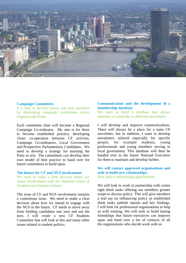

#### **Campaign Committees**

It is time to devolve power and trust members by developing campaign committees across England and Wales.

Each committee chair will become a Regional Campaign Co-ordinator. My aim is for these to become established practice, developing closer co-operation between CF activists, Campaign Co-ordinators, Local Government and Prospective Parliamentary Candidates. We need to develop a strategy for assisting the Party to win. The committees can develop their own model of best practice to hand over for future committees to build upon.

#### **The future for CF and NUS involvement**

We need to make a firm decision about our future involvement with the National Union of Students and Students Unions.

The issue of CF and NUS involvement remains a contentious issue. We need to make a clear decision about how we intend to engage with the NUS in the future. CF needs to move away from fielding candidates one year and not the next. I will create a new CF Students Committee that will look at this and many other issues related to student politics.

#### **Communication and the development of a membership database**

We need to build a database that allows members to subscribe to different newsletters.

I will develop and improve communications. There will always be a place for a main CF newsletter, but in addition, I want to develop newsletters tailored especially for specific people, for example students, young professionals and young members serving in local government. This database will then be handed over to the future National Executive for them to maintain and develop further.

#### **We will contact approved organisations and seek to build new relationships.**  New policy and training opportunities.

We will look to work in partnership with centre right think tanks offering our members greater scope to discuss policy. This will give members a real say on influencing policy as established think tanks publish reports and key findings. I will look for professional organisations to help us with training. We will seek to build lasting friendships that future executives can improve upon and hand over a list of contacts of all the organisations who decide work with us.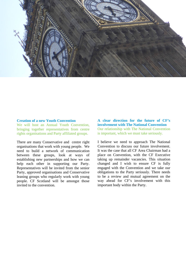

#### **Creation of a new Youth Convention**

We will host an Annual Youth Convention, bringing together representatives from centre rights organisations and Party affiliated groups.

There are many Conservative and centre right organisations that work with young people. We need to build a network of communication between these groups, look at ways of establishing new partnerships and how we can help each other in supporting our Party. Representatives will be invited from the senior Party, approved organisations and Conservative leaning groups who regularly work with young people. CF Scotland will be amongst those invited to the convention.

**A clear direction for the future of CF's involvement with The National Convention**  Our relationship with The National Convention is important, which we must take seriously.

I believe we need to approach The National Convention to discuss our future involvement. It was the case that all CF Area Chairman had a place on Convention, with the CF Executive taking up remainder vacancies. This situation changed and I wish to ensure CF is fully engaged with the Convention and we take our obligations to the Party seriously. There needs to be a review and mutual agreement on the way ahead for CF's involvement with this important body within the Party.